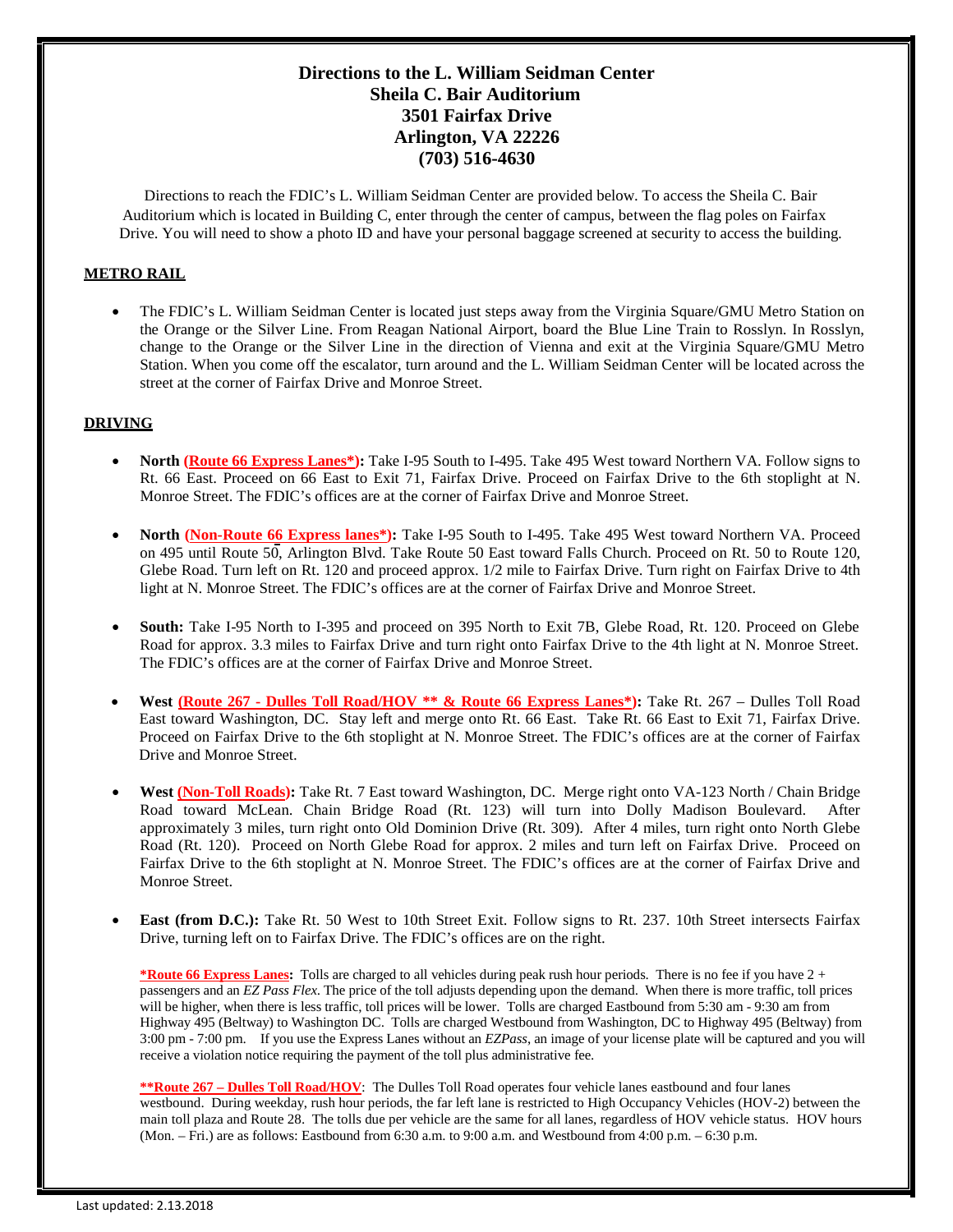## **Directions to the L. William Seidman Center Sheila C. Bair Auditorium 3501 Fairfax Drive Arlington, VA 22226 (703) 516-4630**

Directions to reach the FDIC's L. William Seidman Center are provided below. To access the Sheila C. Bair Auditorium which is located in Building C, enter through the center of campus, between the flag poles on Fairfax Drive. You will need to show a photo ID and have your personal baggage screened at security to access the building.

## **METRO RAIL**

• The FDIC's L. William Seidman Center is located just steps away from the Virginia Square/GMU Metro Station on the Orange or the Silver Line. From Reagan National Airport, board the Blue Line Train to Rosslyn. In Rosslyn, change to the Orange or the Silver Line in the direction of Vienna and exit at the Virginia Square/GMU Metro Station. When you come off the escalator, turn around and the L. William Seidman Center will be located across the street at the corner of Fairfax Drive and Monroe Street.

## **DRIVING**

- **North (Route 66 Express Lanes\*):** Take I-95 South to I-495. Take 495 West toward Northern VA. Follow signs to Rt. 66 East. Proceed on 66 East to Exit 71, Fairfax Drive. Proceed on Fairfax Drive to the 6th stoplight at N. Monroe Street. The FDIC's offices are at the corner of Fairfax Drive and Monroe Street.
- **North (Non-Route 66 Express lanes\*):** Take I-95 South to I-495. Take 495 West toward Northern VA. Proceed on 495 until Route 50, Arlington Blvd. Take Route 50 East toward Falls Church. Proceed on Rt. 50 to Route 120, Glebe Road. Turn left on Rt. 120 and proceed approx. 1/2 mile to Fairfax Drive. Turn right on Fairfax Drive to 4th light at N. Monroe Street. The FDIC's offices are at the corner of Fairfax Drive and Monroe Street.
- **South:** Take I-95 North to I-395 and proceed on 395 North to Exit 7B, Glebe Road, Rt. 120. Proceed on Glebe Road for approx. 3.3 miles to Fairfax Drive and turn right onto Fairfax Drive to the 4th light at N. Monroe Street. The FDIC's offices are at the corner of Fairfax Drive and Monroe Street.
- **West (Route 267 - Dulles Toll Road/HOV \*\* & Route 66 Express Lanes\*):** Take Rt. 267 Dulles Toll Road East toward Washington, DC. Stay left and merge onto Rt. 66 East. Take Rt. 66 East to Exit 71, Fairfax Drive. Proceed on Fairfax Drive to the 6th stoplight at N. Monroe Street. The FDIC's offices are at the corner of Fairfax Drive and Monroe Street.
- **West (Non-Toll Roads):** Take Rt. 7 East toward Washington, DC. Merge right onto VA-123 North / Chain Bridge Road toward McLean. Chain Bridge Road (Rt. 123) will turn into Dolly Madison Boulevard. After approximately 3 miles, turn right onto Old Dominion Drive (Rt. 309). After 4 miles, turn right onto North Glebe Road (Rt. 120). Proceed on North Glebe Road for approx. 2 miles and turn left on Fairfax Drive. Proceed on Fairfax Drive to the 6th stoplight at N. Monroe Street. The FDIC's offices are at the corner of Fairfax Drive and Monroe Street.
- **East (from D.C.):** Take Rt. 50 West to 10th Street Exit. Follow signs to Rt. 237. 10th Street intersects Fairfax Drive, turning left on to Fairfax Drive. The FDIC's offices are on the right.

**\*Route 66 Express Lanes:** Tolls are charged to all vehicles during peak rush hour periods. There is no fee if you have 2 + passengers and an *EZ Pass Flex*. The price of the toll adjusts depending upon the demand. When there is more traffic, toll prices will be higher, when there is less traffic, toll prices will be lower. Tolls are charged Eastbound from 5:30 am - 9:30 am from Highway 495 (Beltway) to Washington DC. Tolls are charged Westbound from Washington, DC to Highway 495 (Beltway) from 3:00 pm - 7:00 pm. If you use the Express Lanes without an *EZPass*, an image of your license plate will be captured and you will receive a violation notice requiring the payment of the toll plus administrative fee.

**\*\*Route 267 – Dulles Toll Road/HOV**: The Dulles Toll Road operates four vehicle lanes eastbound and four lanes westbound. During weekday, rush hour periods, the far left lane is restricted to High Occupancy Vehicles (HOV-2) between the main toll plaza and Route 28. The tolls due per vehicle are the same for all lanes, regardless of HOV vehicle status. HOV hours (Mon. – Fri.) are as follows: Eastbound from 6:30 a.m. to 9:00 a.m. and Westbound from 4:00 p.m. – 6:30 p.m.